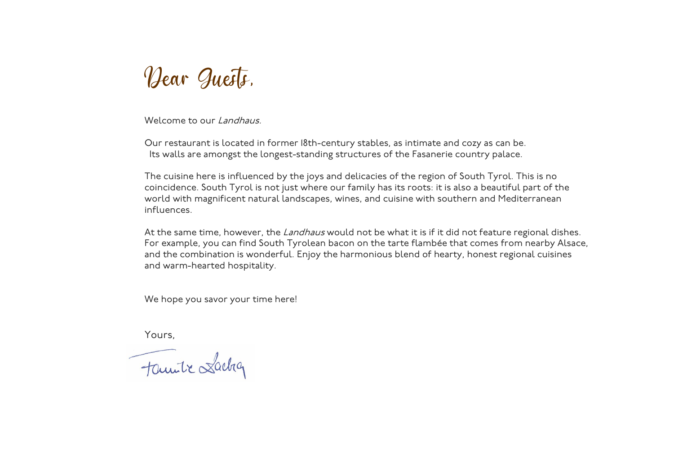

Welcome to our Landhaus.

Our restaurant is located in former 18th-century stables, as intimate and cozy as can be. Its walls are amongst the longest-standing structures of the Fasanerie country palace.

The cuisine here is influenced by the joys and delicacies of the region of South Tyrol. This is no coincidence. South Tyrol is not just where our family has its roots: it is also a beautiful part of the world with magnificent natural landscapes, wines, and cuisine with southern and Mediterranean influences.

At the same time, however, the Landhaus would not be what it is if it did not feature regional dishes. For example, you can find South Tyrolean bacon on the tarte flambée that comes from nearby Alsace, and the combination is wonderful. Enjoy the harmonious blend of hearty, honest regional cuisines and warm-hearted hospitality.

We hope you savor your time here!

Yours,<br>Familie Lacha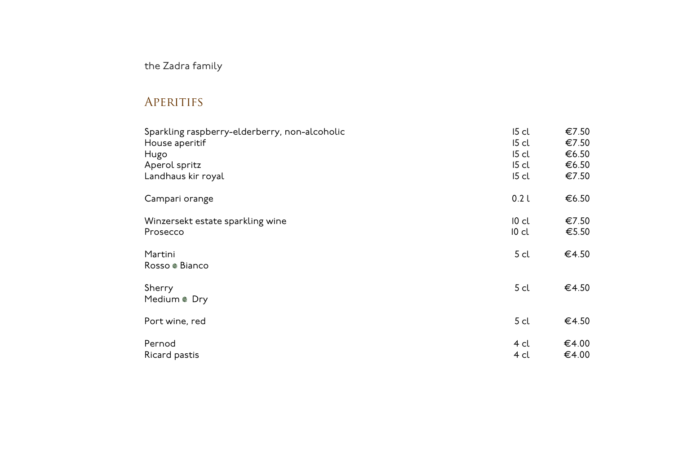### the Zadra family

### **APERITIFS**

| Sparkling raspberry-elderberry, non-alcoholic | $15$ cl          | €7.50 |
|-----------------------------------------------|------------------|-------|
| House aperitif                                | $15$ cl          | €7.50 |
| Hugo                                          | $15$ cl          | €6.50 |
| Aperol spritz                                 | $15$ cl          | €6.50 |
| Landhaus kir royal                            | $15$ cl          | €7.50 |
| Campari orange                                | 0.2 <sub>l</sub> | €6.50 |
| Winzersekt estate sparkling wine              | $10$ cl          | €7.50 |
| Prosecco                                      | $10$ cl          | €5.50 |
| Martini<br>Rosso ® Bianco                     | 5 <sub>cl</sub>  | €4.50 |
| Sherry<br>Medium ® Dry                        | 5 <sub>cl</sub>  | €4.50 |
| Port wine, red                                | 5 <sub>cl</sub>  | €4.50 |
| Pernod                                        | 4 cl             | €4.00 |
| Ricard pastis                                 | 4 cl             | €4.00 |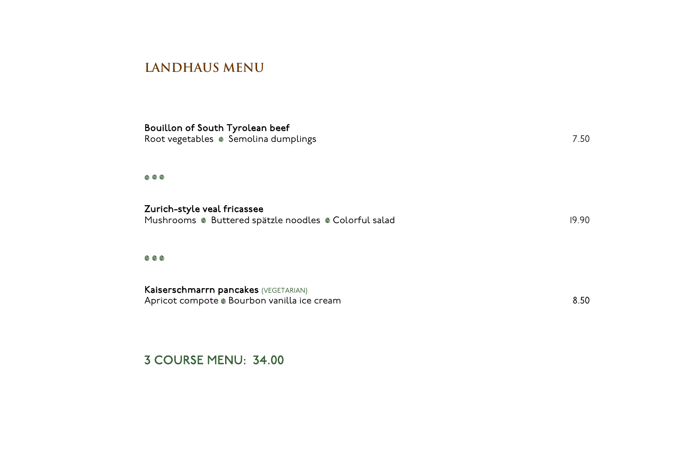#### **LANDHAUS MENU**

| Bouillon of South Tyrolean beef<br>Root vegetables • Semolina dumplings              | 7.50  |
|--------------------------------------------------------------------------------------|-------|
|                                                                                      |       |
| Zurich-style veal fricassee<br>Mushrooms · Buttered spätzle noodles · Colorful salad | 19.90 |
|                                                                                      |       |
| Kaiserschmarrn pancakes (VEGETARIAN)<br>Apricot compote ® Bourbon vanilla ice cream  | 8.50  |

#### 3 COURSE MENU: 34.00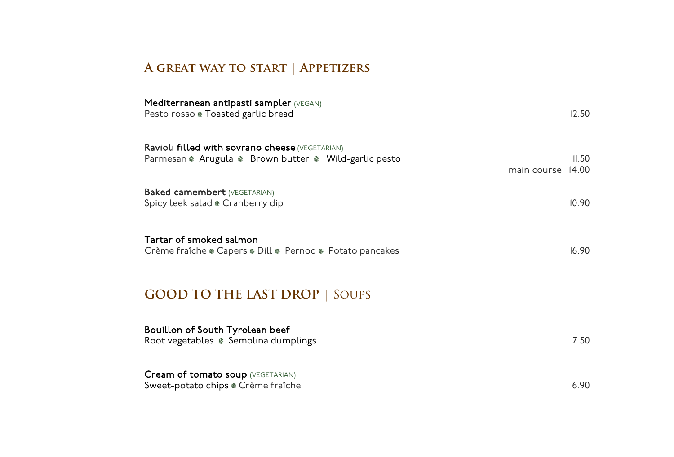# **A great way to start | Appetizers**

| Mediterranean antipasti sampler (VEGAN)<br>Pesto rosso ® Toasted garlic bread                            |             | 12.50          |
|----------------------------------------------------------------------------------------------------------|-------------|----------------|
| Ravioli filled with sovrano cheese (VEGETARIAN)<br>Parmesan @ Arugula @ Brown butter @ Wild-garlic pesto | main course | II.50<br>14.00 |
| <b>Baked camembert (VEGETARIAN)</b><br>Spicy leek salad @ Cranberry dip                                  |             | 10.90          |
| Tartar of smoked salmon<br>Crème fraîche ® Capers ® Dill ® Pernod ® Potato pancakes                      |             | 16.90          |
| <b>GOOD TO THE LAST DROP   SOUPS</b>                                                                     |             |                |
| Bouillon of South Tyrolean beef<br>Root vegetables . Semolina dumplings                                  |             | 7.50           |
| Cream of tomato soup (VEGETARIAN)<br>Sweet-potato chips @ Crème fraîche                                  |             | 6.90           |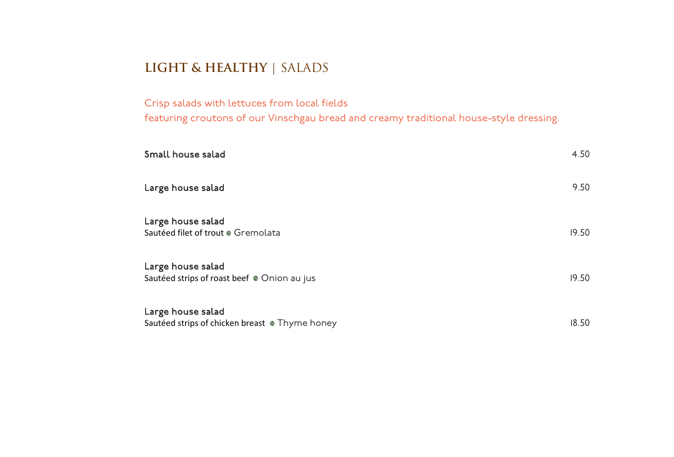# **LIGHT & HEALTHY** | SALADS

Crisp salads with lettuces from local fields featuring croutons of our Vinschgau bread and creamy traditional house-style dressing.

| Small house salad                                                   | 4.50  |
|---------------------------------------------------------------------|-------|
| Large house salad                                                   | 9.50  |
| Large house salad<br>Sautéed filet of trout @ Gremolata             | 19.50 |
| Large house salad<br>Sautéed strips of roast beef . Onion au jus    | 19.50 |
| Large house salad<br>Sautéed strips of chicken breast • Thyme honey | 18.50 |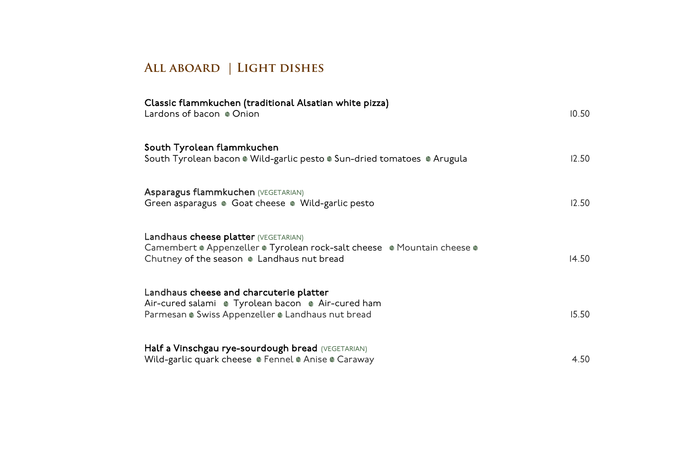# **All aboard | Light dishes**

| Classic flammkuchen (traditional Alsatian white pizza)<br>Lardons of bacon @ Onion                                                                                    | 10.50 |
|-----------------------------------------------------------------------------------------------------------------------------------------------------------------------|-------|
| South Tyrolean flammkuchen<br>South Tyrolean bacon @ Wild-garlic pesto @ Sun-dried tomatoes @ Arugula                                                                 | 12.50 |
| Asparagus flammkuchen (VEGETARIAN)<br>Green asparagus · Goat cheese · Wild-garlic pesto                                                                               | 12.50 |
| Landhaus cheese platter (VEGETARIAN)<br>Camembert ® Appenzeller ® Tyrolean rock-salt cheese ® Mountain cheese ®<br>Chutney of the season $\bullet$ Landhaus nut bread | 14.50 |
| Landhaus cheese and charcuterie platter<br>Air-cured salami · Tyrolean bacon · Air-cured ham<br>Parmesan . Swiss Appenzeller . Landhaus nut bread                     | 15.50 |
| Half a Vinschgau rye-sourdough bread (VEGETARIAN)<br>Wild-garlic quark cheese • Fennel • Anise • Caraway                                                              | 4.50  |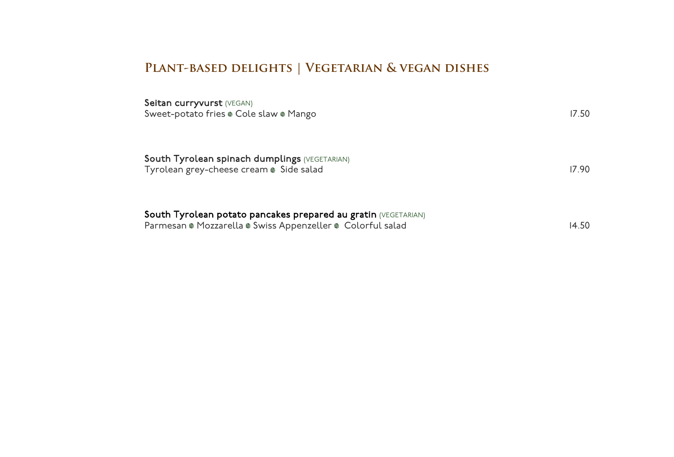# **Plant-based delights | Vegetarian & vegan dishes**

| South Tyrolean potato pancakes prepared au gratin (VEGETARIAN)<br>Parmesan ® Mozzarella ® Swiss Appenzeller ® Colorful salad | 14.50 |
|------------------------------------------------------------------------------------------------------------------------------|-------|
| <b>South Tyrolean spinach dumplings (VEGETARIAN)</b><br>Tyrolean grey-cheese cream Side salad                                | 17.90 |
| Seitan curryvurst (VEGAN)<br>Sweet-potato fries . Cole slaw . Mango                                                          | 17.50 |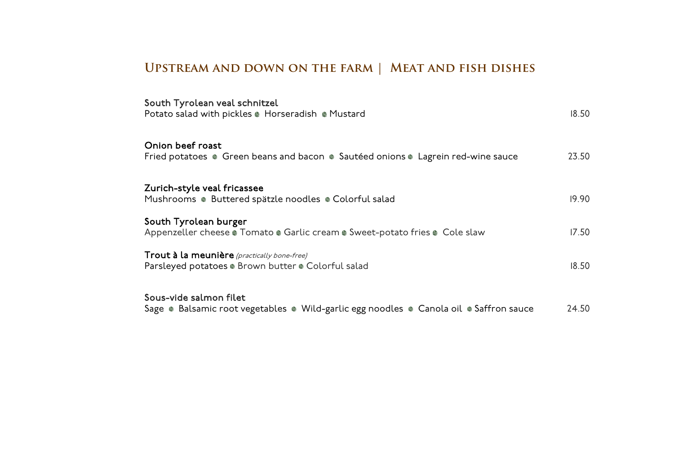# **Upstream and down on the farm | Meat and fish dishes**

| South Tyrolean veal schnitzel<br>Potato salad with pickles . Horseradish . Mustard                               | 18.50 |
|------------------------------------------------------------------------------------------------------------------|-------|
| Onion beef roast<br>Fried potatoes . Green beans and bacon . Sautéed onions . Lagrein red-wine sauce             | 23.50 |
| Zurich-style veal fricassee<br>Mushrooms · Buttered spätzle noodles · Colorful salad                             | 19.90 |
| South Tyrolean burger<br>Appenzeller cheese @ Tomato @ Garlic cream @ Sweet-potato fries @ Cole slaw             | 17.50 |
| Trout à la meunière (practically bone-free)<br>Parsleyed potatoes . Brown butter . Colorful salad                | 18.50 |
| Sous-vide salmon filet<br>Sage . Balsamic root vegetables . Wild-garlic egg noodles . Canola oil . Saffron sauce | 24.50 |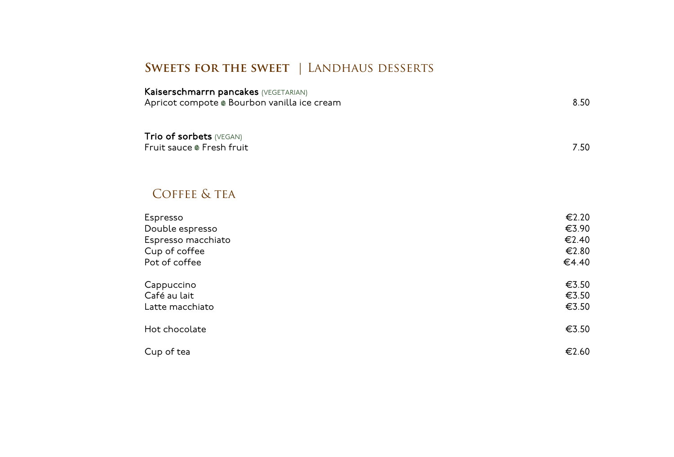## **Sweets for the sweet** | Landhaus desserts

| <b>Kaiserschmarrn pancakes (VEGETARIAN)</b><br>Apricot compote . Bourbon vanilla ice cream | 8.50 |
|--------------------------------------------------------------------------------------------|------|
| <b>Trio of sorbets (VEGAN)</b><br>Fruit sauce @ Fresh fruit                                | 7.50 |

### COFFEE & TEA

| Espresso           | €2.20 |
|--------------------|-------|
| Double espresso    | €3.90 |
| Espresso macchiato | €2.40 |
| Cup of coffee      | €2.80 |
| Pot of coffee      | €4.40 |
| Cappuccino         | €3.50 |
| Café au lait       | €3.50 |
| Latte macchiato    | €3.50 |
| Hot chocolate      | €3.50 |
| Cup of tea         | €2.60 |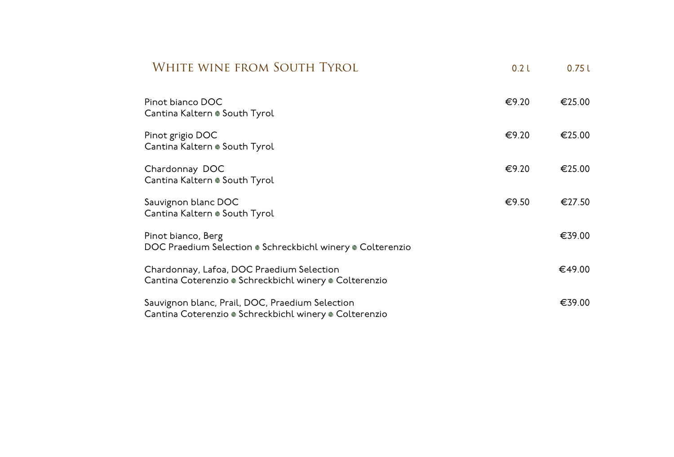| WHITE WINE FROM SOUTH TYROL                                                                               | 0.2 <sub>L</sub> | 0.75L  |
|-----------------------------------------------------------------------------------------------------------|------------------|--------|
| Pinot bianco DOC<br>Cantina Kaltern . South Tyrol                                                         | €9.20            | €25.00 |
| Pinot grigio DOC<br>Cantina Kaltern · South Tyrol                                                         | €9.20            | €25.00 |
| Chardonnay DOC<br>Cantina Kaltern . South Tyrol                                                           | €9.20            | €25.00 |
| Sauvignon blanc DOC<br>Cantina Kaltern . South Tyrol                                                      | €9.50            | €27.50 |
| Pinot bianco, Berg<br>DOC Praedium Selection ® Schreckbichl winery ® Colterenzio                          |                  | €39.00 |
| Chardonnay, Lafoa, DOC Praedium Selection<br>Cantina Coterenzio · Schreckbichl winery · Colterenzio       |                  | €49.00 |
| Sauvignon blanc, Prail, DOC, Praedium Selection<br>Cantina Coterenzio • Schreckbichl winery • Colterenzio |                  | €39.00 |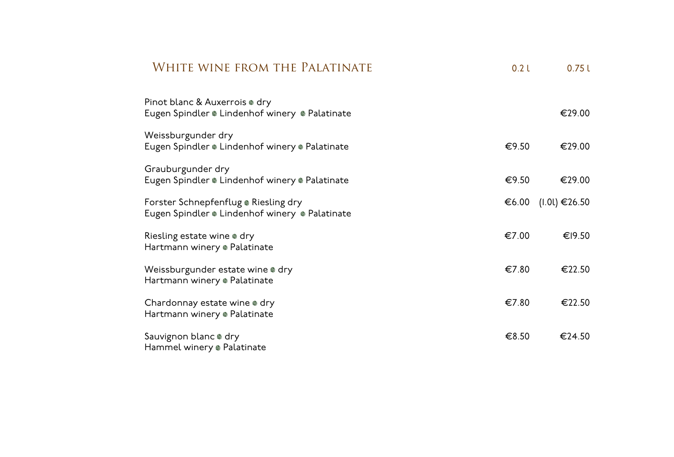| WHITE WINE FROM THE PALATINATE                                                         | 0.2 <sub>L</sub> | 0.75L         |
|----------------------------------------------------------------------------------------|------------------|---------------|
| Pinot blanc & Auxerrois . dry<br>Eugen Spindler . Lindenhof winery . Palatinate        |                  | €29.00        |
| Weissburgunder dry<br>Eugen Spindler . Lindenhof winery . Palatinate                   | €9.50            | €29.00        |
| Grauburgunder dry<br>Eugen Spindler . Lindenhof winery . Palatinate                    | €9.50            | €29.00        |
| Forster Schnepfenflug . Riesling dry<br>Eugen Spindler ® Lindenhof winery ® Palatinate | €6.00            | (1.01) €26.50 |
| Riesling estate wine @ dry<br>Hartmann winery ® Palatinate                             | €7.00            | €19.50        |
| Weissburgunder estate wine @ dry<br>Hartmann winery ® Palatinate                       | €7.80            | €22.50        |
| Chardonnay estate wine . dry<br>Hartmann winery ® Palatinate                           | €7.80            | €22.50        |
| Sauvignon blanc @ dry<br>Hammel winery ® Palatinate                                    | €8.50            | €24.50        |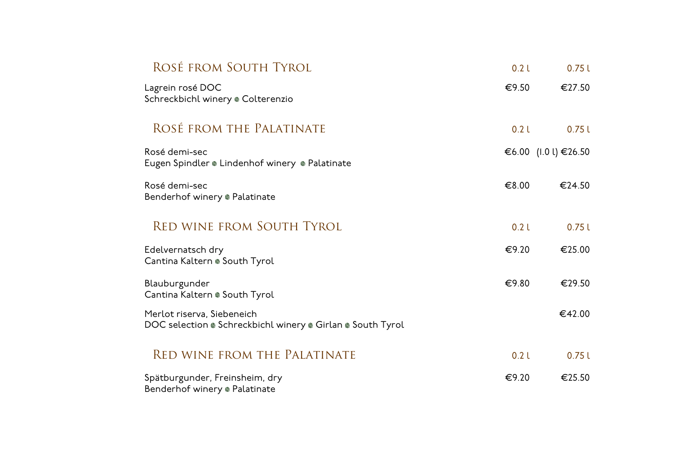| ROSÉ FROM SOUTH TYROL                                                                    | 0.2 <sub>L</sub> | 0.75L                |
|------------------------------------------------------------------------------------------|------------------|----------------------|
| Lagrein rosé DOC<br>Schreckbichl winery @ Colterenzio                                    | €9.50            | €27.50               |
| ROSÉ FROM THE PALATINATE                                                                 | 0.2 <sub>L</sub> | 0.75L                |
| Rosé demi-sec<br>Eugen Spindler . Lindenhof winery . Palatinate                          |                  | €6.00 (I.0 l) €26.50 |
| Rosé demi-sec<br>Benderhof winery ® Palatinate                                           | €8.00            | €24.50               |
| <b>RED WINE FROM SOUTH TYROL</b>                                                         | 0.2 <sub>L</sub> | 0.75L                |
| Edelvernatsch dry<br>Cantina Kaltern . South Tyrol                                       | €9.20            | €25.00               |
| Blauburgunder<br>Cantina Kaltern . South Tyrol                                           | €9.80            | €29.50               |
| Merlot riserva, Siebeneich<br>DOC selection . Schreckbichl winery . Girlan . South Tyrol |                  | €42.00               |
| <b>RED WINE FROM THE PALATINATE</b>                                                      | 0.2 <sub>L</sub> | 0.75L                |
| Spätburgunder, Freinsheim, dry<br>Benderhof winery ® Palatinate                          | €9.20            | €25.50               |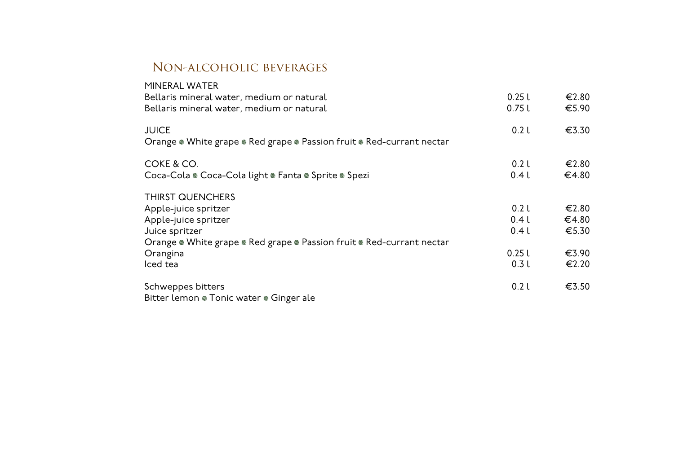#### Non-alcoholic beverages

| 0.25L            | €2.80 |
|------------------|-------|
| 0.75L            | €5.90 |
| 0.2 <sub>l</sub> | €3.30 |
| 0.2 <sub>L</sub> | €2.80 |
| 0.4l             | €4.80 |
|                  |       |
| 0.2l             | €2.80 |
| 0.4l             | €4.80 |
| 0.4l             | €5.30 |
|                  |       |
| 0.25L            | €3.90 |
| 0.3L             | €2.20 |
| 0.2L             | €3.50 |
|                  |       |
|                  |       |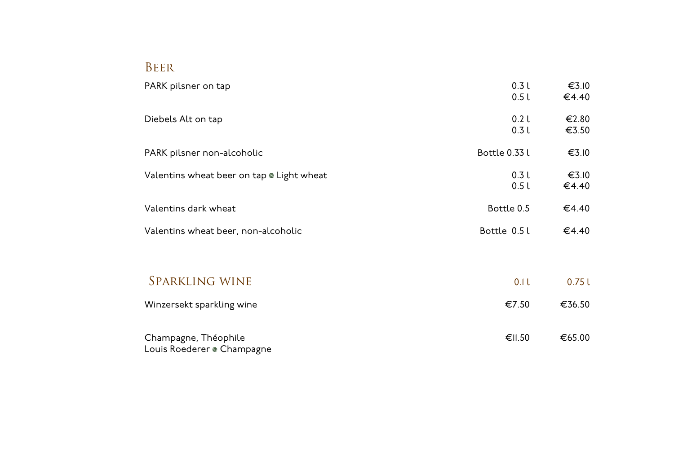### Beer

| PARK pilsner on tap                                | 0.3L<br>0.5L             | €3.10<br>€4.40 |
|----------------------------------------------------|--------------------------|----------------|
| Diebels Alt on tap                                 | 0.2 <sub>L</sub><br>0.3L | €2.80<br>€3.50 |
| PARK pilsner non-alcoholic                         | Bottle 0.33 l            | €3.10          |
| Valentins wheat beer on tap . Light wheat          | 0.3L<br>0.5l             | €3.10<br>€4.40 |
| Valentins dark wheat                               | Bottle 0.5               | €4.40          |
| Valentins wheat beer, non-alcoholic                | Bottle 0.5 l             | €4.40          |
| <b>SPARKLING WINE</b>                              | 0.1 l                    | 0.75L          |
| Winzersekt sparkling wine                          | €7.50                    | €36.50         |
| Champagne, Théophile<br>Louis Roederer ® Champagne | €II.50                   | €65.00         |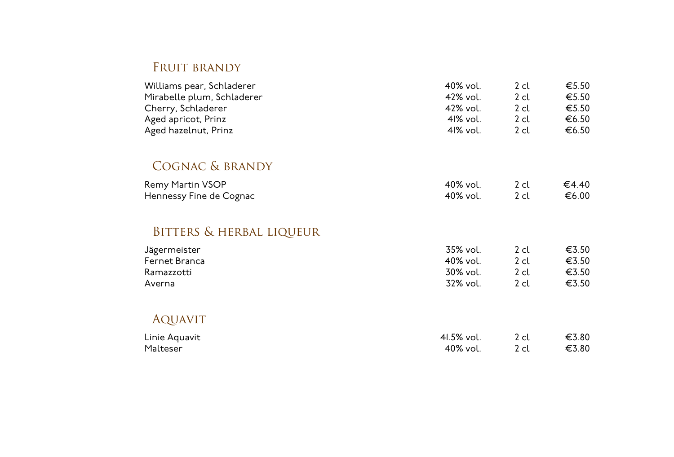### FRUIT BRANDY

| Williams pear, Schladerer  | 40% vol. | 2 cl | €5.50 |
|----------------------------|----------|------|-------|
| Mirabelle plum, Schladerer | 42% vol. | 2 cl | €5.50 |
| Cherry, Schladerer         | 42% vol. | 2 cl | €5.50 |
| Aged apricot, Prinz        | 41% vol. | 2 cl | €6.50 |
| Aged hazelnut, Prinz       | 41% vol. | 2 cl | €6.50 |

### Cognac & brandy

| Remy Martin VSOP        | 40% vol. | €4.40 |
|-------------------------|----------|-------|
| Hennessy Fine de Cognac | 40% vol. | €6.00 |

# Bitters & herbal liqueur

| Jägermeister  | 35% vol. | 2 cl | €3.50 |
|---------------|----------|------|-------|
| Fernet Branca | 40% vol. | 2 cl | €3.50 |
| Ramazzotti    | 30% vol. | 2 cl | €3.50 |
| Averna        | 32% vol. | 2 cl | €3.50 |

## AQUAVIT

| Linie Aquavit | 41.5% vol. | €3.80 |
|---------------|------------|-------|
| Malteser      | 40% vol.   | €3.80 |